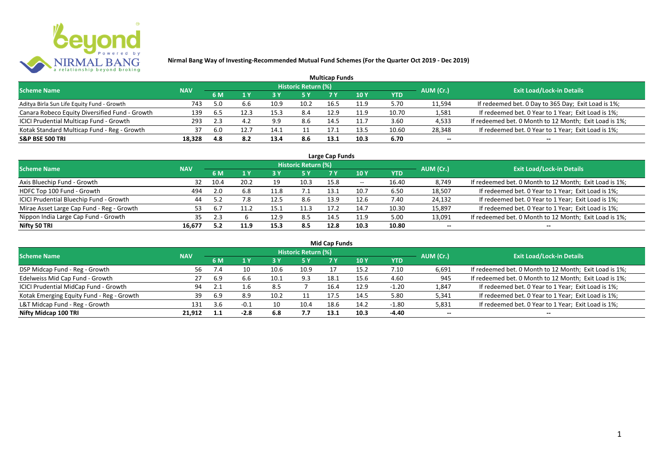

|                                                |            |     |     |      |                            | <b>Multicap Funds</b> |      |            |           |                                                        |
|------------------------------------------------|------------|-----|-----|------|----------------------------|-----------------------|------|------------|-----------|--------------------------------------------------------|
| <b>Scheme Name</b>                             | <b>NAV</b> |     |     |      | <b>Historic Return (%)</b> |                       |      |            | AUM (Cr.) | <b>Exit Load/Lock-in Details</b>                       |
|                                                |            | 6 M |     |      |                            |                       | 10 Y | <b>YTD</b> |           |                                                        |
| Aditya Birla Sun Life Equity Fund - Growth     | 743        | 5.0 |     | 10.9 | 10.2                       | 16.5                  | 11.9 | 5.70       | 11,594    | If redeemed bet. 0 Day to 365 Day; Exit Load is 1%;    |
| Canara Robeco Equity Diversified Fund - Growth | 139        | 6.5 |     | 15.3 | 8.4                        | 12.9                  | 11.9 | 10.70      | 1,581     | If redeemed bet. 0 Year to 1 Year; Exit Load is 1%;    |
| ICICI Prudential Multicap Fund - Growth        | 293        |     |     | 9.9  | 8.6                        | 14.5                  |      | 3.60       | 4,533     | If redeemed bet. 0 Month to 12 Month; Exit Load is 1%; |
| Kotak Standard Multicap Fund - Reg - Growth    | 37         | 6.0 |     | 14.1 |                            | 17.1                  | 13.5 | 10.60      | 28,348    | If redeemed bet. 0 Year to 1 Year; Exit Load is 1%;    |
| <b>S&amp;P BSE 500 TRI</b>                     | 18,328     | 4.8 | 8.2 | 13.4 | 8.6                        | 13.1                  | 10.3 | 6.70       | $- -$     | $- -$                                                  |

| Large Cap Funds                           |            |                |                      |      |                            |                 |            |       |           |                                                        |  |  |  |
|-------------------------------------------|------------|----------------|----------------------|------|----------------------------|-----------------|------------|-------|-----------|--------------------------------------------------------|--|--|--|
| <b>Scheme Name</b>                        | <b>NAV</b> |                |                      |      | <b>Historic Return (%)</b> |                 |            |       | AUM (Cr.) | <b>Exit Load/Lock-in Details</b>                       |  |  |  |
|                                           |            | 6 M            | $\sqrt{1}$ $\sqrt{}$ |      | <b>5 Y</b>                 | 7 V             | <b>10Y</b> | YTD   |           |                                                        |  |  |  |
| Axis Bluechip Fund - Growth               | 32         | 10.4           | 20.2                 | 19   | 10.3                       | 15.8            | $- -$      | 16.40 | 8,749     | If redeemed bet. 0 Month to 12 Month; Exit Load is 1%; |  |  |  |
| HDFC Top 100 Fund - Growth                | 494        | 2.0            | 6.8                  | 11.8 |                            | 13 <sup>7</sup> | 10.7       | 6.50  | 18,507    | If redeemed bet. 0 Year to 1 Year; Exit Load is 1%;    |  |  |  |
| ICICI Prudential Bluechip Fund - Growth   | 44         |                | 7.8                  | 12.5 | 8.6                        | 13.9            | 12.6       | 7.40  | 24,132    | If redeemed bet. 0 Year to 1 Year; Exit Load is 1%;    |  |  |  |
| Mirae Asset Large Cap Fund - Reg - Growth | 53.        | $\mathbf{b}$ . |                      | 15.: | 11.3                       | 17.2            | 14.7       | 10.30 | 15,897    | If redeemed bet. 0 Year to 1 Year; Exit Load is 1%;    |  |  |  |
| Nippon India Large Cap Fund - Growth      | 35.        |                |                      | 12.9 | 8.5                        | 14.5            | 11.9       | 5.00  | 13,091    | If redeemed bet. 0 Month to 12 Month; Exit Load is 1%; |  |  |  |
| Nifty 50 TRI                              | 16.677     |                | 11.9                 | 15.3 | 8.5                        | 12.8            | 10.3       | 10.80 | $- -$     | $- -$                                                  |  |  |  |

| <b>Mid Cap Funds</b>                      |            |      |        |      |                            |      |      |            |           |                                                        |  |  |  |
|-------------------------------------------|------------|------|--------|------|----------------------------|------|------|------------|-----------|--------------------------------------------------------|--|--|--|
| <b>Scheme Name</b>                        | <b>NAV</b> |      |        |      | <b>Historic Return (%)</b> |      |      |            | AUM (Cr.) | <b>Exit Load/Lock-in Details</b>                       |  |  |  |
|                                           |            | 6 M  |        |      | 5 Y                        | 7 Y  | 10 Y | <b>YTD</b> |           |                                                        |  |  |  |
| DSP Midcap Fund - Reg - Growth            | 56         |      |        | 10.6 | 10.9                       |      | 15.2 | 7.10       | 6,691     | If redeemed bet. 0 Month to 12 Month; Exit Load is 1%; |  |  |  |
| Edelweiss Mid Cap Fund - Growth           | 27         | 6.9  | 6.6    | 10.1 | 9.3                        | 18.1 | 15.6 | 4.60       | 945       | If redeemed bet. 0 Month to 12 Month; Exit Load is 1%; |  |  |  |
| ICICI Prudential MidCap Fund - Growth     | 94         |      | 1.b    | 8.5  |                            | 16.4 | 12.9 | $-1.20$    | 1,847     | If redeemed bet. 0 Year to 1 Year; Exit Load is 1%;    |  |  |  |
| Kotak Emerging Equity Fund - Reg - Growth | 39         | -6.9 | 8.9    | 10.2 |                            | 17.5 | 14.5 | 5.80       | 5,341     | If redeemed bet. 0 Year to 1 Year; Exit Load is 1%;    |  |  |  |
| L&T Midcap Fund - Reg - Growth            | 131        | 3.6  | $-0.1$ |      | 10.4                       | 18.6 | 14.2 | $-1.80$    | 5,831     | If redeemed bet. 0 Year to 1 Year; Exit Load is 1%;    |  |  |  |
| Nifty Midcap 100 TRI                      | 21.912     |      | $-2.8$ | 6.8  | 7.7                        | 13.1 | 10.3 | -4.40      | $- -$     | $- -$                                                  |  |  |  |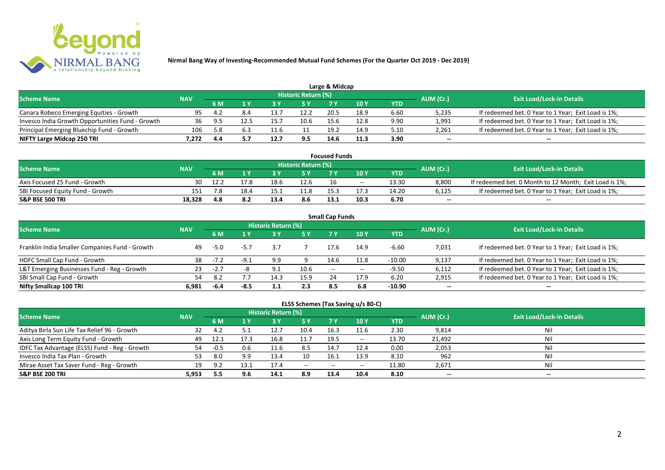

|                                                  |            |     |     |      |                            | Large & Midcap |      |      |           |                                                     |
|--------------------------------------------------|------------|-----|-----|------|----------------------------|----------------|------|------|-----------|-----------------------------------------------------|
| <b>Scheme Name</b>                               | <b>NAV</b> |     |     |      | <b>Historic Return (%)</b> |                |      |      | AUM (Cr.) | <b>Exit Load/Lock-in Details</b>                    |
|                                                  |            | 6 M |     |      | 5 Y                        |                | 10Y  | YTD  |           |                                                     |
| Canara Robeco Emerging Equities - Growth         | 95         |     | 8.4 |      | 12.2                       | 20.5           | 18.9 | 6.60 | 5,235     | If redeemed bet. 0 Year to 1 Year; Exit Load is 1%; |
| Invesco India Growth Opportunities Fund - Growth | 36         | 95  |     | 15.7 |                            | 15.6           | 12.8 | 9.90 | 1,991     | If redeemed bet. 0 Year to 1 Year; Exit Load is 1%; |
| Principal Emerging Bluechip Fund - Growth        | 106        | 5.8 | 6.5 |      |                            | 19.2           | 14.9 | 5.10 | 2,261     | If redeemed bet. 0 Year to 1 Year; Exit Load is 1%; |
| NIFTY Large Midcap 250 TRI                       | 7.272      | 4.4 |     |      | 9.5                        | 14.6           | 11.3 | 3.90 | $-$       | $- -$                                               |

| <b>Focused Funds</b>             |            |      |      |      |                     |                 |       |       |           |                                                        |  |  |  |
|----------------------------------|------------|------|------|------|---------------------|-----------------|-------|-------|-----------|--------------------------------------------------------|--|--|--|
| <b>Scheme Name</b>               | <b>NAV</b> |      |      |      | Historic Return (%) |                 |       |       | AUM (Cr.) | <b>Exit Load/Lock-in Details</b>                       |  |  |  |
|                                  |            | 6 M  |      |      | 5 Y                 |                 | 10 Y  | YTD   |           |                                                        |  |  |  |
| Axis Focused 25 Fund - Growth    | 30         | 12.2 | 17.8 | 18.6 | 12.6                | 16              | $- -$ | 13.30 | 8,800     | If redeemed bet. 0 Month to 12 Month; Exit Load is 1%; |  |  |  |
| SBI Focused Equity Fund - Growth | 151        | 7.8  | 18.4 |      | 11.8                | 15 <sup>2</sup> |       | 14.20 | 6,125     | If redeemed bet. 0 Year to 1 Year; Exit Load is 1%;    |  |  |  |
| <b>S&amp;P BSE 500 TRI</b>       | 18,328     | 4.8  |      | 13.4 | 8.6                 | 13.1            | 10.3  | 6.70  | $- -$     | $-$                                                    |  |  |  |

| <b>Small Cap Funds</b>                         |            |        |        |                     |      |                   |                                                |            |           |                                                     |  |  |  |
|------------------------------------------------|------------|--------|--------|---------------------|------|-------------------|------------------------------------------------|------------|-----------|-----------------------------------------------------|--|--|--|
| <b>Scheme Name</b>                             |            |        |        | Historic Return (%) |      |                   |                                                |            | AUM (Cr.) | <b>Exit Load/Lock-in Details</b>                    |  |  |  |
|                                                | <b>NAV</b> |        |        |                     | 5 Y  | 7 V               | 10Y                                            | <b>YTD</b> |           |                                                     |  |  |  |
| Franklin India Smaller Companies Fund - Growth | 49         | $-5.0$ | -5.7   | 3.7                 |      | 17.6              | 14.9                                           | $-6.60$    | 7,031     | If redeemed bet. 0 Year to 1 Year; Exit Load is 1%; |  |  |  |
| HDFC Small Cap Fund - Growth                   | 38         | $-7.2$ | $-9.1$ | 9.9                 |      | 14.6              | 11.8                                           | $-10.00$   | 9,137     | If redeemed bet. 0 Year to 1 Year; Exit Load is 1%; |  |  |  |
| L&T Emerging Businesses Fund - Reg - Growth    | 23         | $-2.7$ |        | 9.1                 | 10.6 | $\hspace{0.05cm}$ | $\hspace{0.1mm}-\hspace{0.1mm}-\hspace{0.1mm}$ | $-9.50$    | 6,112     | If redeemed bet. 0 Year to 1 Year; Exit Load is 1%; |  |  |  |
| SBI Small Cap Fund - Growth                    | 54         | 8.2    |        | 14.3                | 15.9 | 24                | 17.9                                           | 6.20       | 2,915     | If redeemed bet. 0 Year to 1 Year; Exit Load is 1%; |  |  |  |
| Nifty Smallcap 100 TRI                         | 6.981      | -6.4   | $-8.5$ |                     | 2.3  | 8.5               | 6.8                                            | $-10.90$   | $- -$     | --                                                  |  |  |  |

## **ELSS Schemes (Tax Saving u/s 80-C)**

| <b>Scheme Name</b>                            | <b>NAV</b> |        |      | <b>Historic Return (%)</b> |           |       |                          |       | AUM (Cr.) | <b>Exit Load/Lock-in Details</b> |
|-----------------------------------------------|------------|--------|------|----------------------------|-----------|-------|--------------------------|-------|-----------|----------------------------------|
|                                               |            | 6 M    |      |                            | <b>5Y</b> | 7 Y   | <b>10Y</b>               | YTD   |           |                                  |
| Aditya Birla Sun Life Tax Relief 96 - Growth  | 32         | 4.2    |      | 12.7                       | 10.4      | 16.3  | 11.6                     | 2.30  | 9,814     | Nil                              |
| Axis Long Term Equity Fund - Growth           | 49         | 12.1   | 17.3 | 16.8                       | 11.7      | 19.5  | $\overline{\phantom{a}}$ | 13.70 | 21,492    | Nil                              |
| IDFC Tax Advantage (ELSS) Fund - Reg - Growth | 54         | $-0.5$ | 0.6  | 11.6                       | 8.5       | 14.7  | 12.4                     | 0.00  | 2,053     | Nil                              |
| Invesco India Tax Plan - Growth               | 53         | 8.0    | 9.9  | 13.4                       | 10        | 16.1  | 13.9                     | 8.10  | 962       | Nil                              |
| Mirae Asset Tax Saver Fund - Reg - Growth     | 19         | 9.2    | 13.1 | 17.4                       | $  \,$    | $- -$ | $- -$                    | 11.80 | 2,671     | Nil                              |
| <b>S&amp;P BSE 200 TRI</b>                    | 5.953      | 5.5    | 9.6  | 14.1                       | 8.9       | 13.4  | 10.4                     | 8.10  | $- -$     | $- -$                            |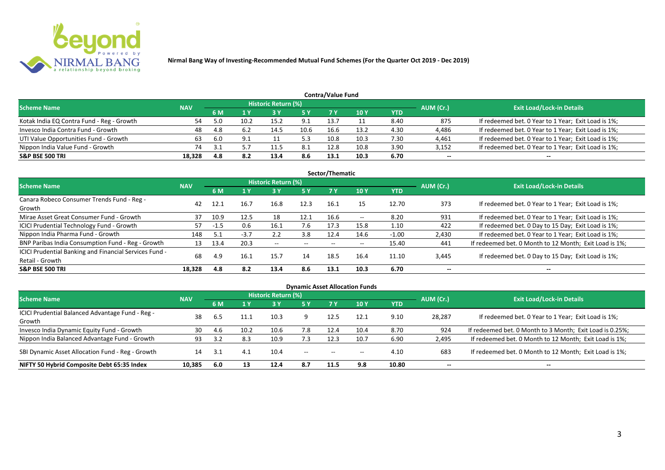

| <b>Contra/Value Fund</b>                  |            |      |      |                            |           |      |      |      |           |                                                     |  |  |  |  |
|-------------------------------------------|------------|------|------|----------------------------|-----------|------|------|------|-----------|-----------------------------------------------------|--|--|--|--|
| <b>Scheme Name</b>                        | <b>NAV</b> |      |      | <b>Historic Return (%)</b> |           |      |      |      | AUM (Cr.) | <b>Exit Load/Lock-in Details</b>                    |  |  |  |  |
|                                           |            |      |      |                            | <b>5Y</b> |      | 10 Y | YTD  |           |                                                     |  |  |  |  |
| Kotak India EQ Contra Fund - Reg - Growth | 54         |      | 10.2 | 15.2                       | 9.1       | 13.7 |      | 8.40 | 875       | If redeemed bet. 0 Year to 1 Year; Exit Load is 1%; |  |  |  |  |
| Invesco India Contra Fund - Growth        | 48         | 4.8  | 6.2  | 14.5                       | 10.6      | 16.6 | 13.2 | 4.30 | 4,486     | If redeemed bet. 0 Year to 1 Year; Exit Load is 1%; |  |  |  |  |
| UTI Value Opportunities Fund - Growth     | 63         | -6.0 | 9.1  |                            | 5.3       | 10.8 | 10.3 | 7.30 | 4,461     | If redeemed bet. 0 Year to 1 Year; Exit Load is 1%; |  |  |  |  |
| Nippon India Value Fund - Growth          | 74         |      |      |                            | -8.1      | 12.8 | 10.8 | 3.90 | 3,152     | If redeemed bet. 0 Year to 1 Year; Exit Load is 1%; |  |  |  |  |
| <b>S&amp;P BSE 500 TRI</b>                | 18.328     | 4.8  | 8.2  | 13.4                       | 8.6       | 13.1 | 10.3 | 6.70 | $- -$     | $- -$                                               |  |  |  |  |

| Sector/Thematic                                                           |            |        |        |                            |           |      |       |            |           |                                                        |  |  |  |  |
|---------------------------------------------------------------------------|------------|--------|--------|----------------------------|-----------|------|-------|------------|-----------|--------------------------------------------------------|--|--|--|--|
| Scheme Name                                                               | <b>NAV</b> |        |        | <b>Historic Return (%)</b> |           |      |       |            | AUM (Cr.) | <b>Exit Load/Lock-in Details</b>                       |  |  |  |  |
|                                                                           |            | 6 M    | 1Y     | 3 Y                        | <b>5Y</b> | 7 Y  | 10Y   | <b>YTD</b> |           |                                                        |  |  |  |  |
| Canara Robeco Consumer Trends Fund - Reg -<br>Growth                      | 42         | 12.1   | 16.7   | 16.8                       | 12.3      | 16.1 | 15    | 12.70      | 373       | If redeemed bet. 0 Year to 1 Year; Exit Load is 1%;    |  |  |  |  |
| Mirae Asset Great Consumer Fund - Growth                                  | 37         | 10.9   | 12.5   | 18                         | 12.1      | 16.6 | $- -$ | 8.20       | 931       | If redeemed bet. 0 Year to 1 Year; Exit Load is 1%;    |  |  |  |  |
| <b>ICICI Prudential Technology Fund - Growth</b>                          | 57         | $-1.5$ | 0.6    | 16.1                       | 7.6       | 17.3 | 15.8  | 1.10       | 422       | If redeemed bet. 0 Day to 15 Day; Exit Load is 1%;     |  |  |  |  |
| Nippon India Pharma Fund - Growth                                         | 148        |        | $-3.7$ | 2.2                        | 3.8       | 12.4 | 14.6  | $-1.00$    | 2,430     | If redeemed bet. 0 Year to 1 Year; Exit Load is 1%;    |  |  |  |  |
| BNP Paribas India Consumption Fund - Reg - Growth                         | 13         | 13.4   | 20.3   | $- -$                      | $- -$     | $-$  | $- -$ | 15.40      | 441       | If redeemed bet. 0 Month to 12 Month; Exit Load is 1%; |  |  |  |  |
| ICICI Prudential Banking and Financial Services Fund -<br>Retail - Growth | 68         | 4.9    | 16.1   | 15.7                       | 14        | 18.5 | 16.4  | 11.10      | 3,445     | If redeemed bet. 0 Day to 15 Day; Exit Load is 1%;     |  |  |  |  |
| <b>S&amp;P BSE 500 TRI</b>                                                | 18.328     | 4.8    | 8.2    | 13.4                       | 8.6       | 13.1 | 10.3  | 6.70       | --        | --                                                     |  |  |  |  |

| <b>Dynamic Asset Allocation Funds</b>                      |            |           |      |                            |        |                          |            |            |           |                                                          |  |  |  |
|------------------------------------------------------------|------------|-----------|------|----------------------------|--------|--------------------------|------------|------------|-----------|----------------------------------------------------------|--|--|--|
| Scheme Name                                                | <b>NAV</b> |           |      | <b>Historic Return (%)</b> |        |                          |            |            |           | <b>Exit Load/Lock-in Details</b>                         |  |  |  |
|                                                            |            | <b>6M</b> | 1 Y  | 3 Y                        | 5 Y    | <b>7Y</b>                | <b>10Y</b> | <b>YTD</b> | AUM (Cr.) |                                                          |  |  |  |
| ICICI Prudential Balanced Advantage Fund - Reg -<br>Growth | 38         | 6.5       | 11.1 | 10.3                       |        | 12.5                     | 12.1       | 9.10       | 28,287    | If redeemed bet. 0 Year to 1 Year; Exit Load is 1%;      |  |  |  |
| Invesco India Dynamic Equity Fund - Growth                 | 30         | 4.6       | 10.2 | 10.6                       | 7.8    | 12.4                     | 10.4       | 8.70       | 924       | If redeemed bet. 0 Month to 3 Month; Exit Load is 0.25%; |  |  |  |
| Nippon India Balanced Advantage Fund - Growth              | 93         |           | 8.3  | 10.9                       | 7.3    | 12.3                     | 10.7       | 6.90       | 2,495     | If redeemed bet. 0 Month to 12 Month; Exit Load is 1%;   |  |  |  |
| SBI Dynamic Asset Allocation Fund - Reg - Growth           | 14         |           | -4.1 | 10.4                       | $\sim$ | $\overline{\phantom{a}}$ | $- -$      | 4.10       | 683       | If redeemed bet. 0 Month to 12 Month; Exit Load is 1%;   |  |  |  |
| NIFTY 50 Hybrid Composite Debt 65:35 Index                 | 10,385     | 6.0       | 13   | 12.4                       | 8.7    | 11.5                     | 9.8        | 10.80      | $- -$     | $- -$                                                    |  |  |  |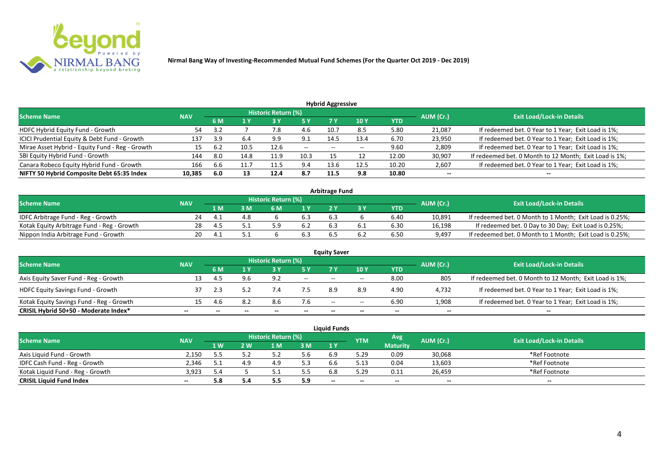

| <b>Hybrid Aggressive</b>                        |            |     |      |                            |               |       |      |            |           |                                                        |  |  |  |  |
|-------------------------------------------------|------------|-----|------|----------------------------|---------------|-------|------|------------|-----------|--------------------------------------------------------|--|--|--|--|
| <b>Scheme Name</b>                              | <b>NAV</b> |     |      | <b>Historic Return (%)</b> |               |       |      |            | AUM (Cr.) | <b>Exit Load/Lock-in Details</b>                       |  |  |  |  |
|                                                 |            | 6 M | 1 Y  | 13 Y                       | <b>5 Y</b>    | 7 Y   | 10 Y | <b>YTD</b> |           |                                                        |  |  |  |  |
| HDFC Hybrid Equity Fund - Growth                | 54         | 3.2 |      | 7.8                        | 4.6           | 10.7  | 8.5  | 5.80       | 21,087    | If redeemed bet. 0 Year to 1 Year; Exit Load is 1%;    |  |  |  |  |
| ICICI Prudential Equity & Debt Fund - Growth    | 137        | 3.9 | 6.4  | 9.9                        | 9.1           | 14.5  | 13.4 | 6.70       | 23,950    | If redeemed bet. 0 Year to 1 Year; Exit Load is 1%;    |  |  |  |  |
| Mirae Asset Hybrid - Equity Fund - Reg - Growth | 15         | 6.2 | 10.5 | 12.6                       | $\sim$ $\sim$ | $- -$ | $-$  | 9.60       | 2,809     | If redeemed bet. 0 Year to 1 Year; Exit Load is 1%;    |  |  |  |  |
| SBI Equity Hybrid Fund - Growth                 | 144        | 8.0 | 14.8 | 11.9                       | 10.3          |       |      | 12.00      | 30,907    | If redeemed bet. 0 Month to 12 Month; Exit Load is 1%; |  |  |  |  |
| Canara Robeco Equity Hybrid Fund - Growth       | 166        | b.b | 11.7 | 11.5                       | 9.4           | 13.6  | 12.5 | 10.20      | 2,607     | If redeemed bet. 0 Year to 1 Year; Exit Load is 1%;    |  |  |  |  |
| NIFTY 50 Hybrid Composite Debt 65:35 Index      | 10,385     | 6.0 | 13   | 12.4                       | 8.7           | 11.5  | 9.8  | 10.80      | $- -$     | $- -$                                                  |  |  |  |  |

| <b>Arbitrage Fund</b>                      |            |     |     |                            |     |     |  |            |           |                                                          |  |  |  |
|--------------------------------------------|------------|-----|-----|----------------------------|-----|-----|--|------------|-----------|----------------------------------------------------------|--|--|--|
| <b>Scheme Name</b>                         | <b>NAV</b> |     |     | <b>Historic Return (%)</b> |     |     |  |            | AUM (Cr.) | <b>Exit Load/Lock-in Details</b>                         |  |  |  |
|                                            |            | 1 M | M   | ና M                        | 1 V |     |  | <b>YTD</b> |           |                                                          |  |  |  |
| IDFC Arbitrage Fund - Reg - Growth         |            |     | 4.8 |                            | 6.3 | 6.3 |  | 6.40       | 10,891    | If redeemed bet. 0 Month to 1 Month; Exit Load is 0.25%; |  |  |  |
| Kotak Equity Arbitrage Fund - Reg - Growth | 28         |     |     |                            |     |     |  | 6.30       | 16,198    | If redeemed bet. 0 Day to 30 Day; Exit Load is 0.25%;    |  |  |  |
| Nippon India Arbitrage Fund - Growth       | 20.        |     |     |                            |     |     |  | 6.50       | 9,497     | If redeemed bet. 0 Month to 1 Month; Exit Load is 0.25%; |  |  |  |

| <b>Equity Saver</b>                      |            |     |     |                     |        |      |       |            |           |                                                        |  |  |  |
|------------------------------------------|------------|-----|-----|---------------------|--------|------|-------|------------|-----------|--------------------------------------------------------|--|--|--|
| <b>Scheme Name</b>                       | <b>NAV</b> |     |     | Historic Return (%) |        |      |       |            | AUM (Cr.) | <b>Exit Load/Lock-in Details</b>                       |  |  |  |
|                                          |            | 6 M |     |                     |        |      | 10Y   | <b>YTD</b> |           |                                                        |  |  |  |
| Axis Equity Saver Fund - Reg - Growth    |            |     |     | 9.2                 | $\sim$ | $-$  | $-$   | 8.00       | 805       | If redeemed bet. 0 Month to 12 Month; Exit Load is 1%; |  |  |  |
| <b>HDFC Equity Savings Fund - Growth</b> |            |     |     |                     | 7.5    | 8.9  |       | 4.90       | 4,732     | If redeemed bet. 0 Year to 1 Year; Exit Load is 1%;    |  |  |  |
| Kotak Equity Savings Fund - Reg - Growth |            |     | 8.2 | 8.6                 | 7.6    | $ -$ | $- -$ | 6.90       | 1,908     | If redeemed bet. 0 Year to 1 Year; Exit Load is 1%;    |  |  |  |
| CRISIL Hybrid 50+50 - Moderate Index*    | --         |     |     | --                  | --     | --   | $- -$ |            | $- -$     | $- -$                                                  |  |  |  |

|                                  |       |                                                                     |     |            |                                  | <b>Liquid Funds</b> |      |                 |        |               |
|----------------------------------|-------|---------------------------------------------------------------------|-----|------------|----------------------------------|---------------------|------|-----------------|--------|---------------|
| <b>Scheme Name</b>               |       | Historic Return (%)<br>Avg<br>AUM (Cr.)<br><b>NAV</b><br><b>YTM</b> |     |            | <b>Exit Load/Lock-in Details</b> |                     |      |                 |        |               |
|                                  |       | 1 W.                                                                | 2 W | 1 M        | 3M                               | 1 Y                 |      | <b>Maturity</b> |        |               |
| Axis Liquid Fund - Growth        | 2.150 |                                                                     |     |            | ა.ხ                              |                     | 5.29 | 0.09            | 30,068 | *Ref Footnote |
| IDFC Cash Fund - Reg - Growth    | 2.346 |                                                                     |     | 4.9        | 5.3                              |                     | 5.13 | 0.04            | 13,603 | *Ref Footnote |
| Kotak Liquid Fund - Reg - Growth | 3.923 | 5.4                                                                 |     |            | 5.5                              |                     | 5.29 | 0.11            | 26.459 | *Ref Footnote |
| <b>CRISIL Liquid Fund Index</b>  | $- -$ | 5.8                                                                 |     | <b>J.J</b> | 5.9                              | $- -$               | --   | $- -$           | $- -$  | $- -$         |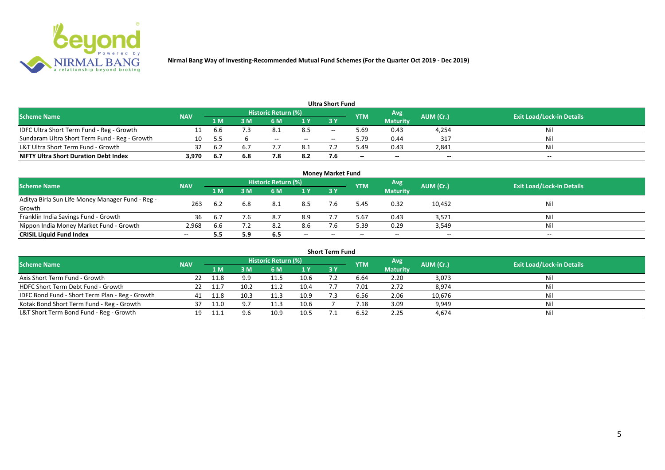

| <b>Ultra Short Fund</b>                       |            |     |     |                            |       |       |            |                 |           |                                  |  |  |  |  |
|-----------------------------------------------|------------|-----|-----|----------------------------|-------|-------|------------|-----------------|-----------|----------------------------------|--|--|--|--|
| <b>Scheme Name</b>                            | <b>NAV</b> |     |     | <b>Historic Return (%)</b> |       |       | <b>YTM</b> | Avg             | AUM (Cr.) | <b>Exit Load/Lock-in Details</b> |  |  |  |  |
|                                               |            | 1 M | : M | 6 M                        | 1 Y   | 73 Y  |            | <b>Maturity</b> |           |                                  |  |  |  |  |
| IDFC Ultra Short Term Fund - Reg - Growth     |            | b.b |     | - 8.1                      | 8.5   | $- -$ | 69.د       | 0.43            | 4,254     | Nil                              |  |  |  |  |
| Sundaram Ultra Short Term Fund - Reg - Growth | 10         | 5.5 |     | $- -$                      | $- -$ | $-$   | 9.79       | 0.44            | 317       | Nil                              |  |  |  |  |
| L&T Ultra Short Term Fund - Growth            | 32         | 6.2 | 6.7 |                            | 8.1   |       | 49.د       | 0.43            | 2,841     | Nil                              |  |  |  |  |
| <b>NIFTY Ultra Short Duration Debt Index</b>  | 3,970      | 6.7 | 6.8 | 7.8                        | 8.2   |       | $- -$      | $- -$           | $-$       | $- -$                            |  |  |  |  |

| <b>Money Market Fund</b>                                   |            |                |                                           |     |       |           |                                  |                 |        |       |  |  |  |
|------------------------------------------------------------|------------|----------------|-------------------------------------------|-----|-------|-----------|----------------------------------|-----------------|--------|-------|--|--|--|
| <b>Scheme Name</b>                                         | <b>NAV</b> |                | Historic Return (%)<br>Avg'<br><b>YTM</b> |     |       | AUM (Cr.) | <b>Exit Load/Lock-in Details</b> |                 |        |       |  |  |  |
|                                                            |            | 1 <sub>M</sub> | MК                                        | 6 M | 1Y    | -3 Y      |                                  | <b>Maturity</b> |        |       |  |  |  |
| Aditya Birla Sun Life Money Manager Fund - Reg -<br>Growth | 263        | 6.2            | 6.8                                       | 8.1 | 8.5   |           | 5.45                             | 0.32            | 10,452 | Nil   |  |  |  |
| Franklin India Savings Fund - Growth                       | 36         | 6.7            | 7.6                                       | 8.7 | 8.9   |           | 5.67                             | 0.43            | 3,571  | Nil   |  |  |  |
| Nippon India Money Market Fund - Growth                    | 2,968      | b.b            |                                           | 8.2 | 8.6   |           | 5.39                             | 0.29            | 3,549  | Nil   |  |  |  |
| <b>CRISIL Liquid Fund Index</b>                            | $- -$      | 5.5            | 5.9                                       | 6.5 | $- -$ | $- -$     | $- -$                            | $- -$           | $- -$  | $- -$ |  |  |  |

| <b>Short Term Fund</b>                          |            |      |      |                     |      |           |                |                 |           |                                  |  |  |  |
|-------------------------------------------------|------------|------|------|---------------------|------|-----------|----------------|-----------------|-----------|----------------------------------|--|--|--|
| <b>Scheme Name</b>                              | <b>NAV</b> |      |      | Historic Return (%) |      |           | <b>YTM</b>     | Avg             | AUM (Cr.) | <b>Exit Load/Lock-in Details</b> |  |  |  |
|                                                 |            | 1 M  | 3 M  | 6 M                 | 1Y   | <b>3Y</b> |                | <b>Maturity</b> |           |                                  |  |  |  |
| Axis Short Term Fund - Growth                   | 22         | 11.8 | 9.9  | 11.5                | 10.6 |           | 6.64           | 2.20            | 3,073     |                                  |  |  |  |
| HDFC Short Term Debt Fund - Growth              | 22         | 11.7 | 10.2 | 11.2                | 10.4 |           | 7.01           | 2.72            | 8,974     | Nil                              |  |  |  |
| IDFC Bond Fund - Short Term Plan - Reg - Growth | 41         | 11.8 | 10.3 | 11.3                | 10.9 |           | 6.56           | 2.06            | 10,676    | Nil                              |  |  |  |
| Kotak Bond Short Term Fund - Reg - Growth       |            | 11.0 |      | 11.3                | 10.6 |           | $^{\prime}.18$ | 3.09            | 9,949     | Ni                               |  |  |  |
| L&T Short Term Bond Fund - Reg - Growth         | 19         |      | 9.6  | 10.9                | 10.5 |           | 6.52           | 2.25            | 4,674     | Nil                              |  |  |  |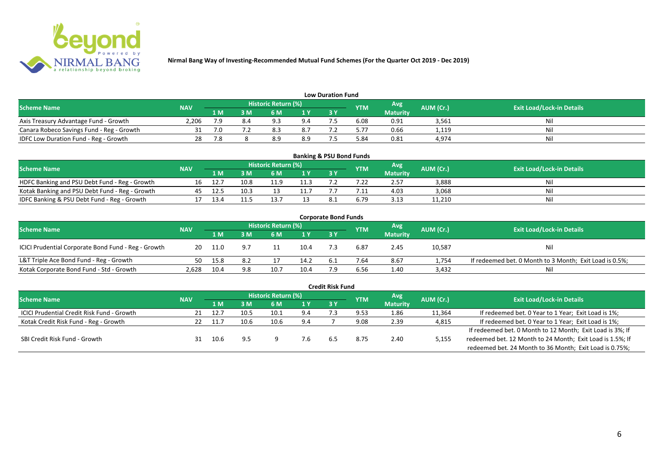

| <b>Low Duration Fund</b>                  |            |     |     |                            |     |    |            |                 |           |                                  |  |  |  |  |
|-------------------------------------------|------------|-----|-----|----------------------------|-----|----|------------|-----------------|-----------|----------------------------------|--|--|--|--|
| <b>Scheme Name</b>                        | <b>NAV</b> |     |     | <b>Historic Return (%)</b> |     |    | <b>YTM</b> | Avg             | AUM (Cr.) | <b>Exit Load/Lock-in Details</b> |  |  |  |  |
|                                           |            | 1 M | 3 M |                            | 1Y  | 3Y |            | <b>Maturity</b> |           |                                  |  |  |  |  |
| Axis Treasury Advantage Fund - Growth     | 2.206      | 7.9 |     | 0.3                        | 9.4 |    | 6.08       | 0.91            | 3,561     | Ni                               |  |  |  |  |
| Canara Robeco Savings Fund - Reg - Growth |            | 7.0 |     |                            | 8.7 |    | 5.77       | 0.66            | 1,119     | Nil                              |  |  |  |  |
| IDFC Low Duration Fund - Reg - Growth     |            | 7.8 |     | $\Omega$ $\Omega$          | 8.9 |    | 84.د       | 0.81            | 4,974     | Nil                              |  |  |  |  |

| <b>Banking &amp; PSU Bond Funds</b>            |            |      |      |                            |      |            |            |                 |           |                                  |  |  |  |
|------------------------------------------------|------------|------|------|----------------------------|------|------------|------------|-----------------|-----------|----------------------------------|--|--|--|
| <b>Scheme Name</b>                             | <b>NAV</b> |      |      | <b>Historic Return (%)</b> |      |            | <b>YTM</b> | Avg             | AUM (Cr.) | <b>Exit Load/Lock-in Details</b> |  |  |  |
|                                                |            | 1 M  |      | 6 M                        |      | <b>3 Y</b> |            | <b>Maturity</b> |           |                                  |  |  |  |
| HDFC Banking and PSU Debt Fund - Reg - Growth  | 16         | 12.7 | 10.8 |                            | 11.3 |            |            | 2.57            | 3,888     | Nil                              |  |  |  |
| Kotak Banking and PSU Debt Fund - Reg - Growth | 45         | 12.5 | 10.3 |                            |      |            |            | 4.03            | 3,068     | Nil                              |  |  |  |
| IDFC Banking & PSU Debt Fund - Reg - Growth    |            | 13.4 |      |                            |      |            | 6.79       | 3.13            | 11,210    | Nil                              |  |  |  |

| <b>Corporate Bond Funds</b>                         |            |      |     |                            |                |     |            |                 |           |                                                         |  |  |  |
|-----------------------------------------------------|------------|------|-----|----------------------------|----------------|-----|------------|-----------------|-----------|---------------------------------------------------------|--|--|--|
| <b>Scheme Name</b>                                  | <b>NAV</b> |      |     | <b>Historic Return (%)</b> |                |     | <b>YTM</b> | Avg             | AUM (Cr.) | <b>Exit Load/Lock-in Details</b>                        |  |  |  |
|                                                     |            | 1 M  | : M | 6 M                        | 1 <sup>Y</sup> | 3 Y |            | <b>Maturity</b> |           |                                                         |  |  |  |
| ICICI Prudential Corporate Bond Fund - Reg - Growth | 20         | 11.0 |     |                            | 10.4           |     | 6.87       | 2.45            | 10,587    | <b>Nil</b>                                              |  |  |  |
| L&T Triple Ace Bond Fund - Reg - Growth             | 50         | 15.8 | 8.2 |                            | 14.2           |     | 7.64       | 8.67            | 1,754     | If redeemed bet. 0 Month to 3 Month; Exit Load is 0.5%; |  |  |  |
| Kotak Corporate Bond Fund - Std - Growth            | 2,628      | 10.4 | 9.8 | 10.7                       | 10.4           |     | 6.56       | 1.40            | 3,432     | Nil                                                     |  |  |  |

|                                                   |            |       |      |                            |      | <b>Credit Risk Fund</b> |            |                 |           |                                                           |
|---------------------------------------------------|------------|-------|------|----------------------------|------|-------------------------|------------|-----------------|-----------|-----------------------------------------------------------|
| <b>Scheme Name</b>                                | <b>NAV</b> |       |      | <b>Historic Return (%)</b> |      |                         | <b>YTM</b> | Avg             | AUM (Cr.) | <b>Exit Load/Lock-in Details</b>                          |
|                                                   |            | 1 M   | 3 M  | 6 M                        | 71 Y | 3 Y                     |            | <b>Maturity</b> |           |                                                           |
| <b>ICICI Prudential Credit Risk Fund - Growth</b> | 21         | -12.7 | 10.5 | 10.1                       | 9.4  |                         | 9.53       | 1.86            | 11,364    | If redeemed bet. 0 Year to 1 Year; Exit Load is 1%;       |
| Kotak Credit Risk Fund - Reg - Growth             |            | 11.7  | 10.6 | 10.6                       | 9.4  |                         | 9.08       | 2.39            | 4,815     | If redeemed bet. 0 Year to 1 Year; Exit Load is 1%;       |
|                                                   |            |       |      |                            |      |                         |            |                 |           | If redeemed bet. 0 Month to 12 Month; Exit Load is 3%; If |
| SBI Credit Risk Fund - Growth                     |            |       | 9.5  |                            | 7.6  | - 6.5                   | 8.75       | 2.40            | 5,155     | redeemed bet. 12 Month to 24 Month; Exit Load is 1.5%; If |
|                                                   |            |       |      |                            |      |                         |            |                 |           | redeemed bet. 24 Month to 36 Month; Exit Load is 0.75%;   |